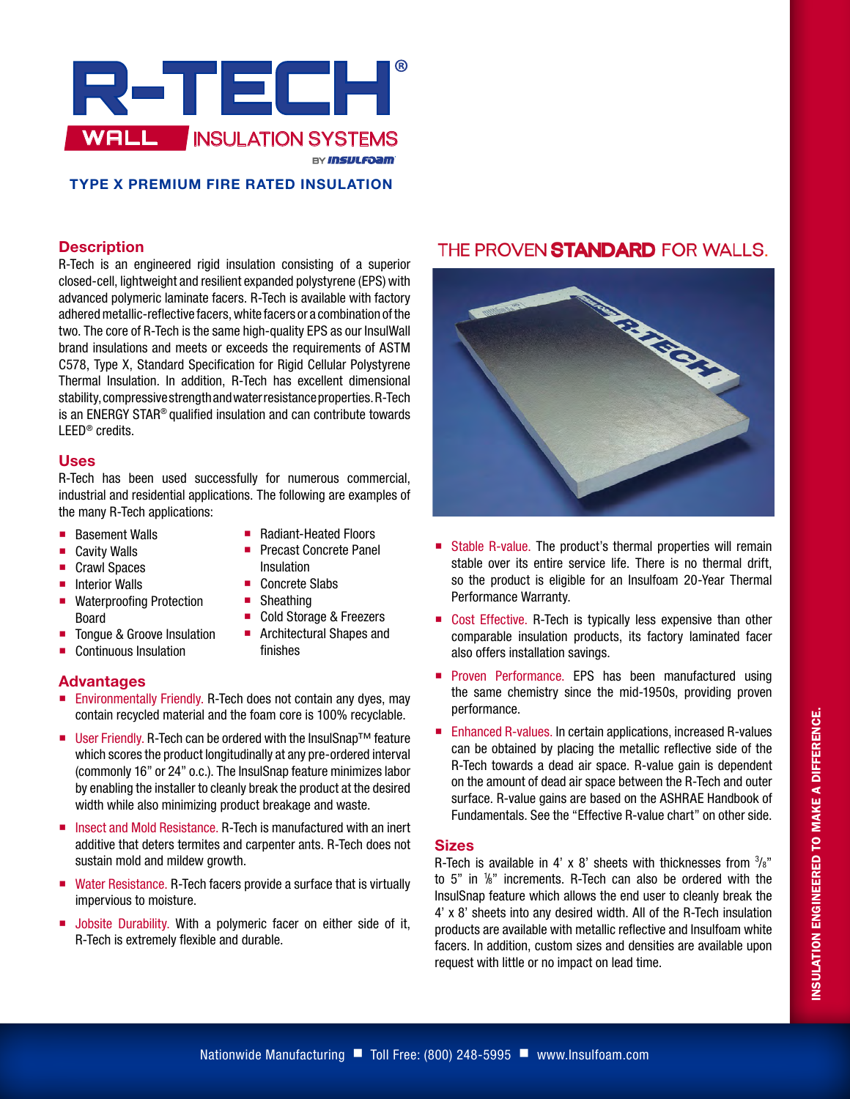

## **TYPE X PREMIUM FIRE RATED INSULATION**

#### **Description**

R-Tech is an engineered rigid insulation consisting of a superior closed-cell, lightweight and resilient expanded polystyrene (EPS) with advanced polymeric laminate facers. R-Tech is available with factory adhered metallic-reflective facers, white facers or a combination of the two. The core of R-Tech is the same high-quality EPS as our InsulWall brand insulations and meets or exceeds the requirements of ASTM C578, Type X, Standard Specification for Rigid Cellular Polystyrene Thermal Insulation. In addition, R-Tech has excellent dimensional stability, compressive strength and water resistance properties. R-Tech is an ENERGY STAR® qualified insulation and can contribute towards LEED® credits.

#### **Uses**

R-Tech has been used successfully for numerous commercial, industrial and residential applications. The following are examples of the many R-Tech applications:

> ■ Radiant-Heated Floors **Precast Concrete Panel**

■ Cold Storage & Freezers **Architectural Shapes and** 

Insulation ■ Concrete Slabs ■ Sheathing

finishes

- **Basement Walls**
- Cavity Walls
- Crawl Spaces
- $\blacksquare$  Interior Walls
- Waterproofing Protection Board
- Tongue & Groove Insulation
- Continuous Insulation

#### **Advantages**

- **Environmentally Friendly. R-Tech does not contain any dyes, may** contain recycled material and the foam core is 100% recyclable.
- User Friendly. R-Tech can be ordered with the InsulSnap<sup>™</sup> feature which scores the product longitudinally at any pre-ordered interval (commonly 16" or 24" o.c.). The InsulSnap feature minimizes labor by enabling the installer to cleanly break the product at the desired width while also minimizing product breakage and waste.
- Insect and Mold Resistance. R-Tech is manufactured with an inert additive that deters termites and carpenter ants. R-Tech does not sustain mold and mildew growth.
- Water Resistance. R-Tech facers provide a surface that is virtually impervious to moisture.
- **Jobsite Durability. With a polymeric facer on either side of it,** R-Tech is extremely flexible and durable.

# THE PROVEN STANDARD FOR WALLS.



- Stable R-value. The product's thermal properties will remain stable over its entire service life. There is no thermal drift, so the product is eligible for an Insulfoam 20-Year Thermal Performance Warranty.
- Cost Effective. R-Tech is typically less expensive than other comparable insulation products, its factory laminated facer also offers installation savings.
- **Proven Performance. EPS has been manufactured using** the same chemistry since the mid-1950s, providing proven performance.
- Enhanced R-values. In certain applications, increased R-values can be obtained by placing the metallic reflective side of the R-Tech towards a dead air space. R-value gain is dependent on the amount of dead air space between the R-Tech and outer surface. R-value gains are based on the ASHRAE Handbook of Fundamentals. See the "Effective R-value chart" on other side.

#### **Sizes**

R-Tech is available in 4' x 8' sheets with thicknesses from  $\frac{3}{8}$ " to 5" in 1 /8" increments. R-Tech can also be ordered with the InsulSnap feature which allows the end user to cleanly break the 4' x 8' sheets into any desired width. All of the R-Tech insulation products are available with metallic reflective and Insulfoam white facers. In addition, custom sizes and densities are available upon request with little or no impact on lead time.